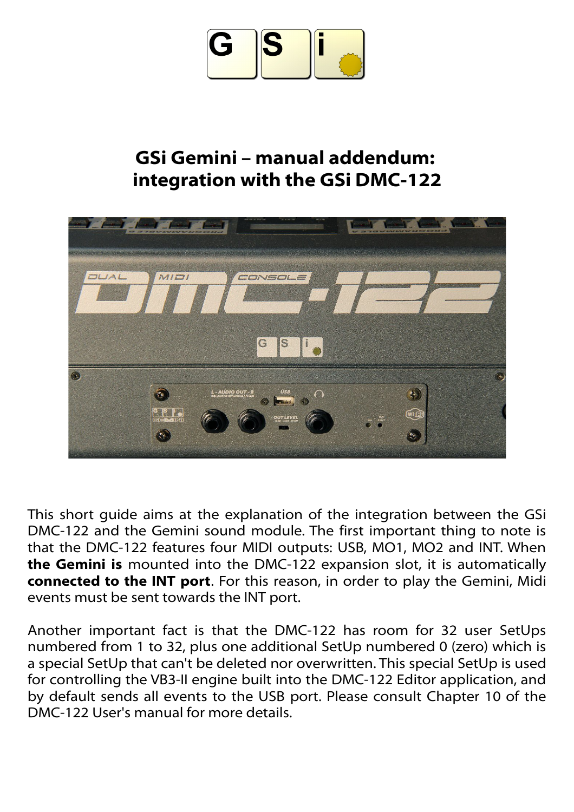

## **GSi Gemini – manual addendum: integration with the GSi DMC-122**



This short guide aims at the explanation of the integration between the GSi DMC-122 and the Gemini sound module. The first important thing to note is that the DMC-122 features four MIDI outputs: USB, MO1, MO2 and INT. When **the Gemini is** mounted into the DMC-122 expansion slot, it is automatically **connected to the INT port**. For this reason, in order to play the Gemini, Midi events must be sent towards the INT port.

Another important fact is that the DMC-122 has room for 32 user SetUps numbered from 1 to 32, plus one additional SetUp numbered 0 (zero) which is a special SetUp that can't be deleted nor overwritten. This special SetUp is used for controlling the VB3-II engine built into the DMC-122 Editor application, and by default sends all events to the USB port. Please consult Chapter 10 of the DMC-122 User's manual for more details.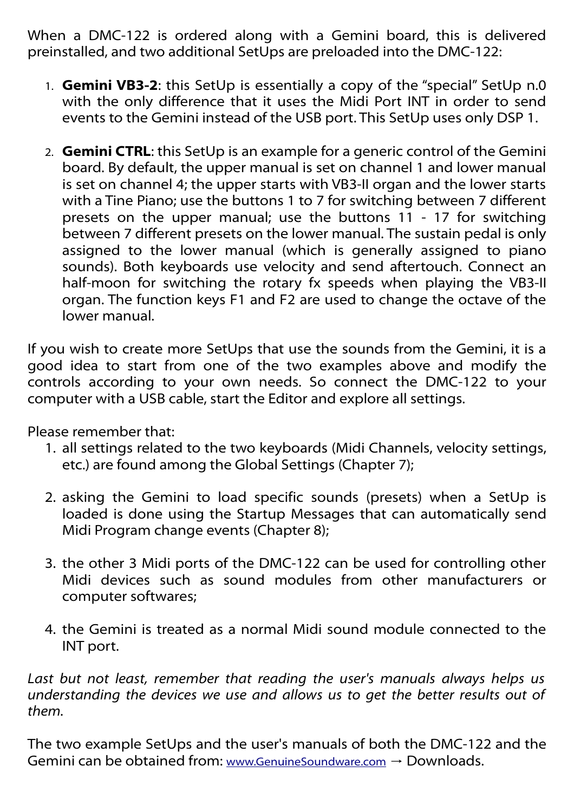When a DMC-122 is ordered along with a Gemini board, this is delivered preinstalled, and two additional SetUps are preloaded into the DMC-122:

- 1. **Gemini VB3-2**: this SetUp is essentially a copy of the "special" SetUp n.0 with the only difference that it uses the Midi Port INT in order to send events to the Gemini instead of the USB port. This SetUp uses only DSP 1.
- 2. **Gemini CTRL**: this SetUp is an example for a generic control of the Gemini board. By default, the upper manual is set on channel 1 and lower manual is set on channel 4; the upper starts with VB3-II organ and the lower starts with a Tine Piano; use the buttons 1 to 7 for switching between 7 different presets on the upper manual; use the buttons 11 - 17 for switching between 7 different presets on the lower manual. The sustain pedal is only assigned to the lower manual (which is generally assigned to piano sounds). Both keyboards use velocity and send aftertouch. Connect an half-moon for switching the rotary fx speeds when playing the VB3-II organ. The function keys F1 and F2 are used to change the octave of the lower manual.

If you wish to create more SetUps that use the sounds from the Gemini, it is a good idea to start from one of the two examples above and modify the controls according to your own needs. So connect the DMC-122 to your computer with a USB cable, start the Editor and explore all settings.

Please remember that:

- 1. all settings related to the two keyboards (Midi Channels, velocity settings, etc.) are found among the Global Settings (Chapter 7);
- 2. asking the Gemini to load specific sounds (presets) when a SetUp is loaded is done using the Startup Messages that can automatically send Midi Program change events (Chapter 8);
- 3. the other 3 Midi ports of the DMC-122 can be used for controlling other Midi devices such as sound modules from other manufacturers or computer softwares;
- 4. the Gemini is treated as a normal Midi sound module connected to the INT port.

*Last but not least, remember that reading the user's manuals always helps us understanding the devices we use and allows us to get the better results out of them.* 

The two example SetUps and the user's manuals of both the DMC-122 and the Gemini can be obtained from: [www.GenuineSoundware.com](http://www.GenuineSoundware.com/)  $\rightarrow$  Downloads.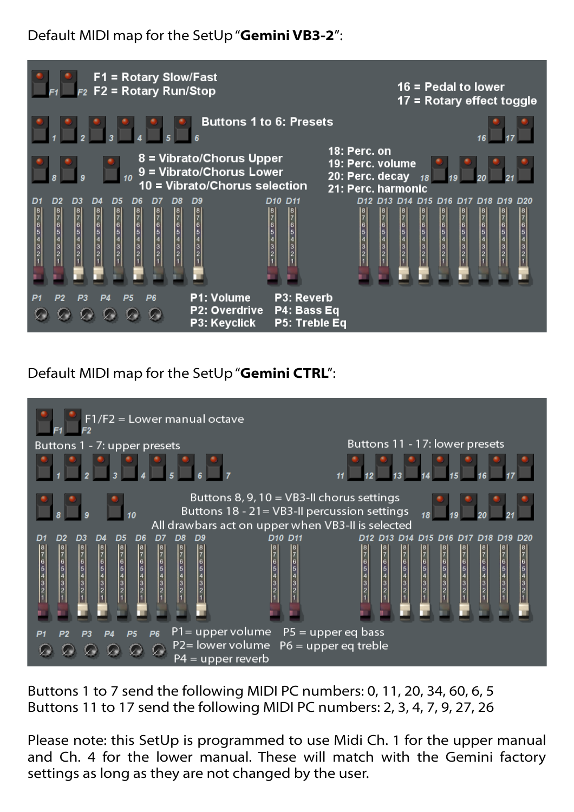Default MIDI map for the SetUp "**Gemini VB3-2**":



Default MIDI map for the SetUp "**Gemini CTRL**":



Buttons 1 to 7 send the following MIDI PC numbers: 0, 11, 20, 34, 60, 6, 5 Buttons 11 to 17 send the following MIDI PC numbers: 2, 3, 4, 7, 9, 27, 26

Please note: this SetUp is programmed to use Midi Ch. 1 for the upper manual and Ch. 4 for the lower manual. These will match with the Gemini factory settings as long as they are not changed by the user.